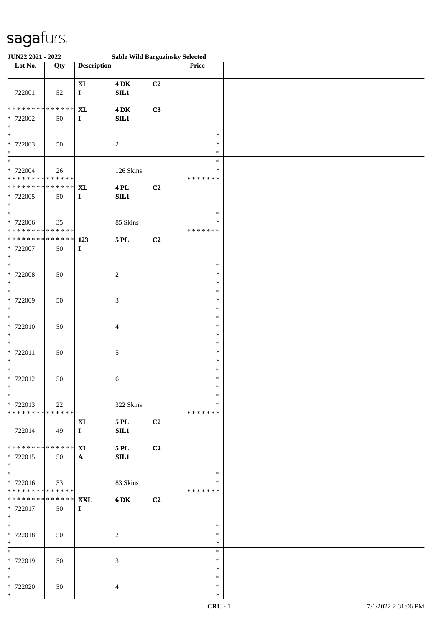| JUN22 2021 - 2022                                                   |     | <b>Sable Wild Barguzinsky Selected</b> |                                |    |                                   |  |
|---------------------------------------------------------------------|-----|----------------------------------------|--------------------------------|----|-----------------------------------|--|
| Lot No.                                                             | Qty | <b>Description</b>                     |                                |    | Price                             |  |
| 722001                                                              | 52  | $\bold{X}\bold{L}$<br>$\mathbf I$      | $4\,\mathrm{DK}$<br>$\rm SIL1$ | C2 |                                   |  |
| * * * * * * * * * * * * * *<br>* 722002<br>$\ast$                   | 50  | <b>XL</b><br>$\mathbf I$               | $4\,\mathrm{DK}$<br>SIL1       | C3 |                                   |  |
| $\ast$<br>* 722003<br>$\ast$                                        | 50  |                                        | $\boldsymbol{2}$               |    | $\ast$<br>$\ast$<br>$\ast$        |  |
| $\overline{\ast}$<br>* 722004<br>* * * * * * * * * * * * * *        | 26  |                                        | 126 Skins                      |    | $\ast$<br>∗<br>* * * * * * *      |  |
| * * * * * * * * * * * * * *<br>$* 722005$<br>$\ast$                 | 50  | <b>XL</b><br>$\mathbf{I}$              | <b>4 PL</b><br>SIL1            | C2 |                                   |  |
| $\ast$<br>$* 722006$<br>* * * * * * * * * * * * * *                 | 35  |                                        | 85 Skins                       |    | $\ast$<br>$\ast$<br>* * * * * * * |  |
| * * * * * * * * * * * * * * *<br>* 722007<br>$\ast$                 | 50  | 123<br>$\mathbf I$                     | <b>5 PL</b>                    | C2 |                                   |  |
| $\ast$<br>$* 722008$<br>$\ast$                                      | 50  |                                        | $\boldsymbol{2}$               |    | $\ast$<br>$\ast$<br>$\ast$        |  |
| $\ast$<br>$* 722009$<br>$\ast$                                      | 50  |                                        | $\mathfrak{Z}$                 |    | $\ast$<br>$\ast$<br>$\ast$        |  |
| $\ast$<br>* 722010<br>$\ast$                                        | 50  |                                        | $\overline{4}$                 |    | $\ast$<br>∗<br>$\ast$             |  |
| $\ast$<br>* 722011<br>$\ast$                                        | 50  |                                        | 5                              |    | $\ast$<br>$\ast$<br>$\ast$        |  |
| $\ast$<br>$* 722012$<br>$\mathbf{x}$                                | 50  |                                        | 6                              |    | $\ast$<br>$\ast$<br>$\ast$        |  |
| $*$<br>* 722013<br>* * * * * * * * * * * * * *                      | 22  |                                        | 322 Skins                      |    | $\ast$<br>∗<br>* * * * * * *      |  |
| 722014                                                              | 49  | $\mathbf{XL}$<br>$\mathbf I$           | $5$ PL $\,$<br>SL1             | C2 |                                   |  |
| * * * * * * * * * * * * * *<br>* 722015<br>$*$                      | 50  | <b>XL</b><br>$\mathbf{A}$              | <b>5 PL</b><br>SL1             | C2 |                                   |  |
| $\overline{\phantom{0}}$<br>* 722016<br>* * * * * * * * * * * * * * | 33  |                                        | 83 Skins                       |    | $\ast$<br>∗<br>* * * * * * *      |  |
| * * * * * * * * * * * * * * *<br>* 722017<br>$*$                    | 50  | <b>XXL</b><br>$\mathbf{I}$             | 6 DK                           | C2 |                                   |  |
| $\overline{\phantom{0}}$<br>* 722018<br>$*$                         | 50  |                                        | $\sqrt{2}$                     |    | $\ast$<br>$\ast$<br>$\ast$        |  |
| $*$<br>* 722019<br>$*$                                              | 50  |                                        | 3                              |    | $\ast$<br>$\ast$<br>$\ast$        |  |
| $\ast$<br>* 722020<br>$*$                                           | 50  |                                        | $\overline{4}$                 |    | $\ast$<br>$\ast$<br>$\ast$        |  |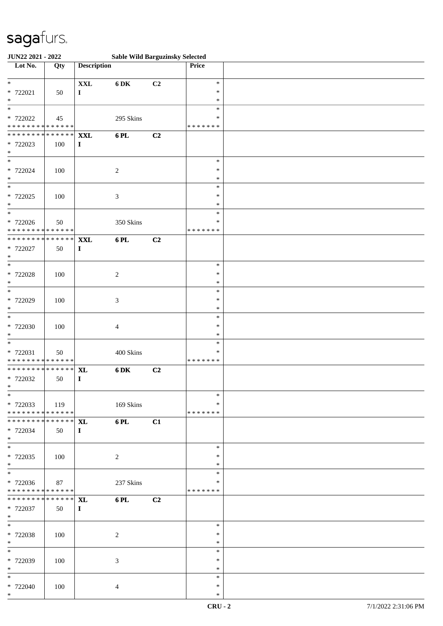| JUN22 2021 - 2022             |               |                    | <b>Sable Wild Barguzinsky Selected</b> |                |                  |  |
|-------------------------------|---------------|--------------------|----------------------------------------|----------------|------------------|--|
| Lot No.                       | Qty           | <b>Description</b> |                                        |                | Price            |  |
|                               |               |                    |                                        |                |                  |  |
| $*$                           |               | $\mathbf{XXL}$     | 6 DK                                   | C2             | $\ast$           |  |
| * 722021                      | 50            | $\bf{I}$           |                                        |                | $\ast$           |  |
| $\ast$                        |               |                    |                                        |                | $\ast$           |  |
| $\overline{\phantom{0}}$      |               |                    |                                        |                | $\ast$           |  |
| * 722022                      | 45            |                    | 295 Skins                              |                | $\ast$           |  |
| * * * * * * * * * * * * * *   |               |                    |                                        |                | * * * * * * *    |  |
| * * * * * * * * * * * * * * * |               | <b>XXL</b>         | 6 PL                                   | C2             |                  |  |
| * 722023                      | 100           | $\bf{I}$           |                                        |                |                  |  |
| $\ast$<br>$*$                 |               |                    |                                        |                |                  |  |
|                               |               |                    |                                        |                | $\ast$           |  |
| * 722024<br>$\ast$            | 100           |                    | $\sqrt{2}$                             |                | $\ast$<br>$\ast$ |  |
| $\overline{\ast}$             |               |                    |                                        |                | $\ast$           |  |
|                               |               |                    |                                        |                | $\ast$           |  |
| * 722025<br>$*$               | 100           |                    | $\mathfrak{Z}$                         |                | $\ast$           |  |
| $*$                           |               |                    |                                        |                | $\ast$           |  |
| * 722026                      | 50            |                    | 350 Skins                              |                | $\ast$           |  |
| * * * * * * * * * * * * * *   |               |                    |                                        |                | * * * * * * *    |  |
| * * * * * * * * * * * * * * * |               | <b>XXL</b>         | 6 PL                                   | C2             |                  |  |
| * 722027                      | 50            | $\mathbf I$        |                                        |                |                  |  |
| $\ast$                        |               |                    |                                        |                |                  |  |
| $\overline{\phantom{0}}$      |               |                    |                                        |                | $\ast$           |  |
| * 722028                      | 100           |                    | $\overline{c}$                         |                | $\ast$           |  |
| $*$                           |               |                    |                                        |                | $\ast$           |  |
|                               |               |                    |                                        |                | $\ast$           |  |
| * 722029                      | 100           |                    | $\ensuremath{\mathfrak{Z}}$            |                | $\ast$           |  |
| $\ast$                        |               |                    |                                        |                | $\ast$           |  |
| $*$                           |               |                    |                                        |                | $\ast$           |  |
| * 722030                      | 100           |                    | $\overline{4}$                         |                | $\ast$           |  |
| $\ast$                        |               |                    |                                        |                | $\ast$           |  |
| $*$                           |               |                    |                                        |                | $\ast$           |  |
| * 722031                      | 50            |                    | 400 Skins                              |                | ∗                |  |
| * * * * * * * * * * * * * *   |               |                    |                                        |                | * * * * * * *    |  |
| * * * * * * * * * * * * * * * |               | <b>XL</b>          | <b>6DK</b>                             | C2             |                  |  |
| * 722032                      | 50            | $\bf{I}$           |                                        |                |                  |  |
| $*$                           |               |                    |                                        |                |                  |  |
| $*$                           |               |                    |                                        |                | $\ast$           |  |
| * 722033                      | 119           |                    | 169 Skins                              |                | $\ast$           |  |
| * * * * * * * * * * * * * * * |               |                    |                                        |                | * * * * * * *    |  |
| * * * * * * * *               | * * * * * * * | <b>XL</b>          | 6 PL                                   | C1             |                  |  |
| * 722034<br>$*$               | 50            | $\bf{I}$           |                                        |                |                  |  |
|                               |               |                    |                                        |                | $\ast$           |  |
| $*$<br>* 722035               | 100           |                    | 2                                      |                | $\ast$           |  |
| $*$                           |               |                    |                                        |                | $\ast$           |  |
| $*$                           |               |                    |                                        |                | $\ast$           |  |
| * 722036                      | 87            |                    | 237 Skins                              |                | $\ast$           |  |
| * * * * * * * * * * * * * * * |               |                    |                                        |                | * * * * * * *    |  |
| * * * * * * * *               | ******        | <b>XL</b>          | 6 PL                                   | C <sub>2</sub> |                  |  |
| * 722037                      | 50            | $\bf{I}$           |                                        |                |                  |  |
| $*$                           |               |                    |                                        |                |                  |  |
| $*$                           |               |                    |                                        |                | $\ast$           |  |
| * 722038                      | 100           |                    | $\overline{2}$                         |                | $\ast$           |  |
| $*$                           |               |                    |                                        |                | $\ast$           |  |
| $*$                           |               |                    |                                        |                | $\ast$           |  |
| * 722039                      | 100           |                    | 3                                      |                | $\ast$           |  |
| $*$                           |               |                    |                                        |                | $\ast$           |  |
| $*$                           |               |                    |                                        |                | $\ast$           |  |
| * 722040                      | 100           |                    | $\overline{4}$                         |                | $\ast$           |  |
| $*$                           |               |                    |                                        |                | $\ast$           |  |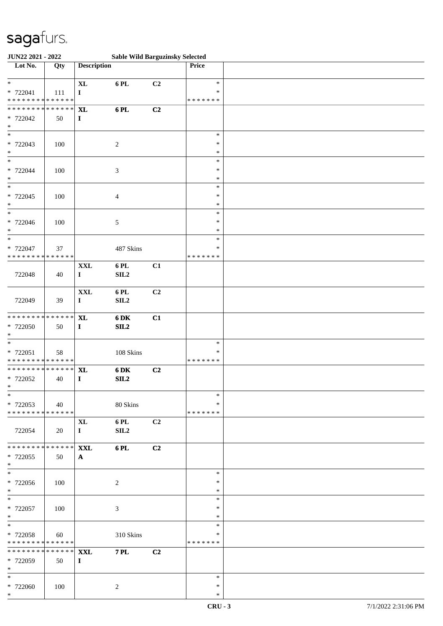| JUN22 2021 - 2022                                     |     |                                |                          | <b>Sable Wild Barguzinsky Selected</b> |                                   |  |
|-------------------------------------------------------|-----|--------------------------------|--------------------------|----------------------------------------|-----------------------------------|--|
| Lot No.                                               | Qty | <b>Description</b>             |                          |                                        | Price                             |  |
| $\ast$<br>* 722041<br>* * * * * * * * * * * * * *     | 111 | $\mathbf{XL}$<br>$\bf{I}$      | 6PL                      | C2                                     | $\ast$<br>∗<br>* * * * * * *      |  |
| * * * * * * * * * * * * * * *<br>* 722042<br>$\ast$   | 50  | <b>XL</b><br>$\mathbf{I}$      | 6PL                      | C2                                     |                                   |  |
| $\overline{\phantom{a}^*}$<br>* 722043<br>$\ast$      | 100 |                                | $\sqrt{2}$               |                                        | $\ast$<br>$\ast$<br>$\ast$        |  |
| $_{\ast}$<br>* 722044<br>$\ast$                       | 100 |                                | $\sqrt{3}$               |                                        | $\ast$<br>$\ast$<br>$\ast$        |  |
| $\overline{\ast}$<br>$* 722045$<br>$\ast$             | 100 |                                | $\overline{4}$           |                                        | $\ast$<br>$\ast$<br>$\ast$        |  |
| $\overline{\phantom{1}}$<br>* 722046<br>$\ast$        | 100 |                                | $\sqrt{5}$               |                                        | $\ast$<br>$\ast$<br>$\ast$        |  |
| $\ast$<br>* 722047<br>* * * * * * * * * * * * * *     | 37  |                                | 487 Skins                |                                        | $\ast$<br>*<br>* * * * * * *      |  |
| 722048                                                | 40  | $\mathbf{XXL}$<br>$\bf{I}$     | 6 PL<br>SL2              | C1                                     |                                   |  |
| 722049                                                | 39  | $\mathbf{XXL}$<br>$\bf{I}$     | 6PL<br>SL2               | C <sub>2</sub>                         |                                   |  |
| * * * * * * * * * * * * * *<br>* 722050<br>$\ast$     | 50  | $\mathbf{X}$ L<br>$\mathbf{I}$ | 6 DK<br>SL2              | C1                                     |                                   |  |
| $\ast$<br>$* 722051$<br>* * * * * * * * * * * * * * * | 58  |                                | 108 Skins                |                                        | $\ast$<br>$\ast$<br>* * * * * * * |  |
| ******** <mark>******</mark><br>* 722052<br>$*$       | 40  | <b>XL</b><br>$\mathbf{I}$      | 6 DK<br>SL2              | C2                                     |                                   |  |
| $\ast$<br>* 722053<br>* * * * * * * * * * * * * * *   | 40  |                                | 80 Skins                 |                                        | $\ast$<br>*<br>* * * * * * *      |  |
| 722054                                                | 20  | $\mathbf{XL}$<br>$\mathbf{I}$  | 6 PL<br>SIL <sub>2</sub> | C2                                     |                                   |  |
| * * * * * * * * * * * * * * *<br>* 722055<br>$*$      | 50  | <b>XXL</b><br>$\mathbf{A}$     | $6$ PL                   | C2                                     |                                   |  |
| $\overline{\phantom{a}^*}$<br>* 722056<br>$*$         | 100 |                                | $\overline{c}$           |                                        | $\ast$<br>∗<br>$\ast$             |  |
| $\ast$<br>* 722057<br>$\ast$                          | 100 |                                | 3                        |                                        | $\ast$<br>$\ast$<br>$\ast$        |  |
| $\ast$<br>* 722058<br>* * * * * * * * * * * * * *     | 60  |                                | 310 Skins                |                                        | $\ast$<br>*<br>* * * * * * *      |  |
| ******** <mark>******</mark><br>* 722059<br>$\ast$    | 50  | <b>XXL</b><br>$\bf{I}$         | <b>7 PL</b>              | C2                                     |                                   |  |
| $*$<br>* 722060<br>$*$                                | 100 |                                | 2                        |                                        | $\ast$<br>$\ast$<br>$\ast$        |  |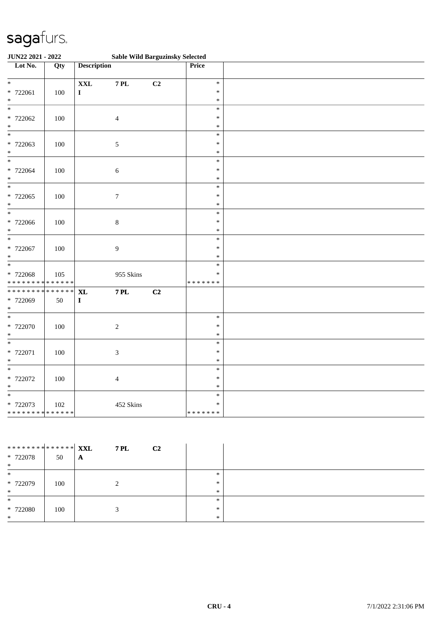| JUN22 2021 - 2022                       |     |                                   |                  | <b>Sable Wild Barguzinsky Selected</b> |                  |  |
|-----------------------------------------|-----|-----------------------------------|------------------|----------------------------------------|------------------|--|
| $\overline{\phantom{1}}$ Lot No.        | Qty | <b>Description</b>                |                  |                                        | Price            |  |
|                                         |     |                                   |                  |                                        |                  |  |
| $*$                                     |     | <b>XXL</b>                        | <b>7 PL</b>      | C <sub>2</sub>                         | $\ast$<br>$\ast$ |  |
| * 722061<br>$\ast$                      | 100 | $\bf I$                           |                  |                                        | $\ast$           |  |
| $\ast$                                  |     |                                   |                  |                                        | $\ast$           |  |
| * 722062                                | 100 |                                   | $\overline{4}$   |                                        | $\ast$           |  |
| $\ast$                                  |     |                                   |                  |                                        | $\ast$           |  |
| $\overline{\phantom{0}}$                |     |                                   |                  |                                        | $\ast$           |  |
| * 722063                                | 100 |                                   | $\sqrt{5}$       |                                        | $\ast$           |  |
| $\ast$                                  |     |                                   |                  |                                        | $\ast$           |  |
| $\ast$                                  |     |                                   |                  |                                        | $\ast$           |  |
| * 722064                                | 100 |                                   | $\sqrt{6}$       |                                        | $\ast$           |  |
| $\ast$                                  |     |                                   |                  |                                        | $\ast$           |  |
| $\ast$                                  |     |                                   |                  |                                        | $\ast$           |  |
| * 722065<br>$\ast$                      | 100 |                                   | $\boldsymbol{7}$ |                                        | $\ast$<br>$\ast$ |  |
| $\ast$                                  |     |                                   |                  |                                        | $\ast$           |  |
| * 722066                                | 100 |                                   | $\,8\,$          |                                        | $\ast$           |  |
| $\ast$                                  |     |                                   |                  |                                        | $\ast$           |  |
| $*$                                     |     |                                   |                  |                                        | $\ast$           |  |
| * 722067                                | 100 |                                   | $\overline{9}$   |                                        | $\ast$           |  |
| $\ast$                                  |     |                                   |                  |                                        | $\ast$           |  |
| $\overline{\phantom{0}}$                |     |                                   |                  |                                        | $\ast$           |  |
| * 722068                                | 105 |                                   | 955 Skins        |                                        | $\ast$           |  |
| * * * * * * * * * * * * * *             |     |                                   |                  |                                        | * * * * * * *    |  |
| * * * * * * * * * * * * * *<br>* 722069 | 50  | $\bold{X}\bold{L}$<br>$\mathbf I$ | <b>7 PL</b>      | C <sub>2</sub>                         |                  |  |
| $*$                                     |     |                                   |                  |                                        |                  |  |
| $\overline{\phantom{a}^*}$              |     |                                   |                  |                                        | $\ast$           |  |
| $* 722070$                              | 100 |                                   | $\sqrt{2}$       |                                        | $\ast$           |  |
| $\ast$                                  |     |                                   |                  |                                        | $\ast$           |  |
| $\ast$                                  |     |                                   |                  |                                        | $\ast$           |  |
| * 722071                                | 100 |                                   | $\mathfrak{Z}$   |                                        | $\ast$           |  |
| $\ast$                                  |     |                                   |                  |                                        | $\ast$           |  |
| $\ast$                                  |     |                                   |                  |                                        | $\ast$           |  |
| $* 722072$                              | 100 |                                   | $\overline{4}$   |                                        | $\ast$           |  |
| $\ast$<br>$\overline{\phantom{a}^*}$    |     |                                   |                  |                                        | $\ast$<br>$\ast$ |  |
| * 722073                                | 102 |                                   | 452 Skins        |                                        | $\ast$           |  |
| ******** <mark>******</mark>            |     |                                   |                  |                                        | * * * * * * *    |  |

| ********* <mark>******</mark> <b>XXL</b><br>$* 722078$<br>$\ast$ | 50  | <b>7 PL</b><br>C <sub>2</sub><br>A |                         |  |
|------------------------------------------------------------------|-----|------------------------------------|-------------------------|--|
| $\ast$<br>* 722079<br>$\ast$                                     | 100 |                                    | $\ast$<br>$\ast$<br>$*$ |  |
| $\ast$<br>$*722080$<br>$\ast$                                    | 100 |                                    | $\ast$<br>*<br>$\ast$   |  |